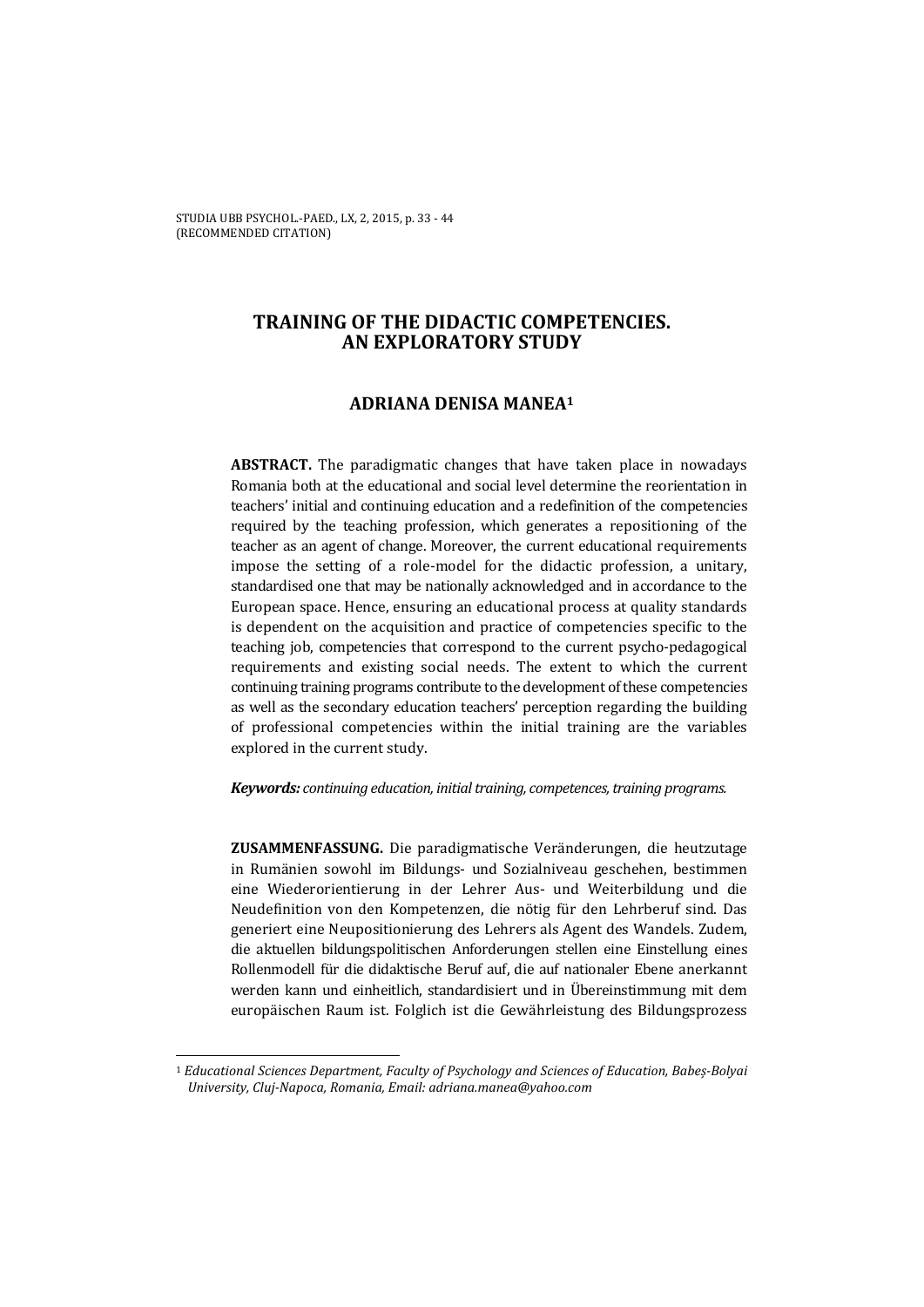# **TRAINING OF THE DIDACTIC COMPETENCIES. AN EXPLORATORY STUDY**

### **ADRIANA DENISA MANEA1**

**ABSTRACT.** The paradigmatic changes that have taken place in nowadays Romania both at the educational and social level determine the reorientation in teachers' initial and continuing education and a redefinition of the competencies required by the teaching profession, which generates a repositioning of the teacher as an agent of change. Moreover, the current educational requirements impose the setting of a role-model for the didactic profession, a unitary, standardised one that may be nationally acknowledged and in accordance to the European space. Hence, ensuring an educational process at quality standards is dependent on the acquisition and practice of competencies specific to the teaching job, competencies that correspond to the current psycho-pedagogical requirements and existing social needs. The extent to which the current continuing training programs contribute to the development of these competencies as well as the secondary education teachers' perception regarding the building of professional competencies within the initial training are the variables explored in the current study.

#### *Keywords: continuing education, initial training, competences, training programs.*

**ZUSAMMENFASSUNG.** Die paradigmatische Veränderungen, die heutzutage in Rumänien sowohl im Bildungs- und Sozialniveau geschehen, bestimmen eine Wiederorientierung in der Lehrer Aus- und Weiterbildung und die Neudefinition von den Kompetenzen, die nötig für den Lehrberuf sind. Das generiert eine Neupositionierung des Lehrers als Agent des Wandels. Zudem, die aktuellen bildungspolitischen Anforderungen stellen eine Einstellung eines Rollenmodell für die didaktische Beruf auf, die auf nationaler Ebene anerkannt werden kann und einheitlich, standardisiert und in Übereinstimmung mit dem europäischen Raum ist. Folglich ist die Gewährleistung des Bildungsprozess

l

<sup>1</sup> *Educational Sciences Department, Faculty of Psychology and Sciences of Education, Babeș-Bolyai University, Cluj-Napoca, Romania, Email: adriana.manea@yahoo.com*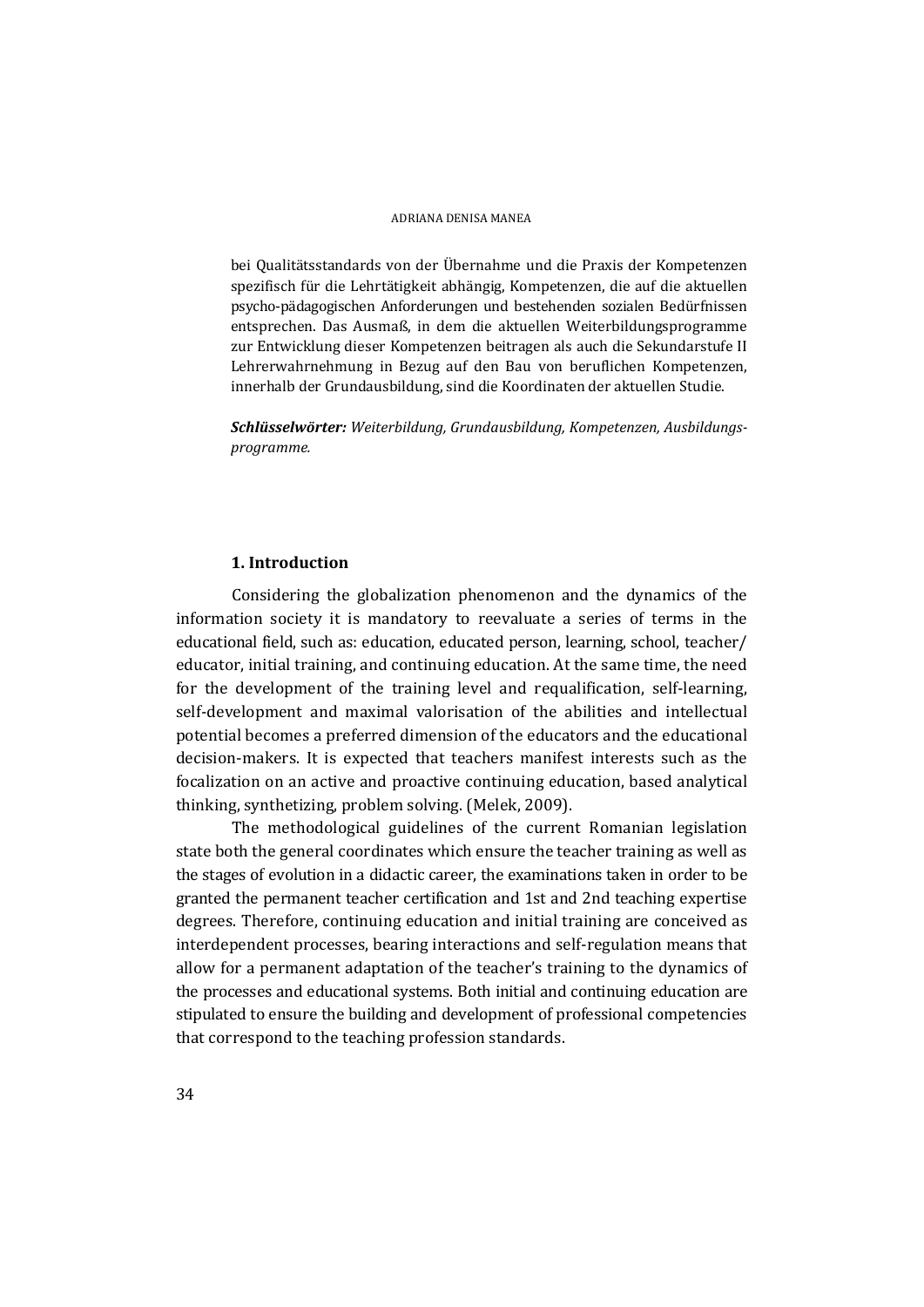bei Qualitätsstandards von der Übernahme und die Praxis der Kompetenzen spezifisch für die Lehrtätigkeit abhängig, Kompetenzen, die auf die aktuellen psycho-pädagogischen Anforderungen und bestehenden sozialen Bedürfnissen entsprechen. Das Ausmaß, in dem die aktuellen Weiterbildungsprogramme zur Entwicklung dieser Kompetenzen beitragen als auch die Sekundarstufe II Lehrerwahrnehmung in Bezug auf den Bau von beruflichen Kompetenzen, innerhalb der Grundausbildung, sind die Koordinaten der aktuellen Studie.

*Schlüsselwörter: Weiterbildung, Grundausbildung, Kompetenzen, Ausbildungsprogramme.* 

### **1. Introduction**

Considering the globalization phenomenon and the dynamics of the information society it is mandatory to reevaluate a series of terms in the educational field, such as: education, educated person, learning, school, teacher/ educator, initial training, and continuing education. At the same time, the need for the development of the training level and requalification, self-learning, self-development and maximal valorisation of the abilities and intellectual potential becomes a preferred dimension of the educators and the educational decision-makers. It is expected that teachers manifest interests such as the focalization on an active and proactive continuing education, based analytical thinking, synthetizing, problem solving. (Melek, 2009).

The methodological guidelines of the current Romanian legislation state both the general coordinates which ensure the teacher training as well as the stages of evolution in a didactic career, the examinations taken in order to be granted the permanent teacher certification and 1st and 2nd teaching expertise degrees. Therefore, continuing education and initial training are conceived as interdependent processes, bearing interactions and self-regulation means that allow for a permanent adaptation of the teacher's training to the dynamics of the processes and educational systems. Both initial and continuing education are stipulated to ensure the building and development of professional competencies that correspond to the teaching profession standards.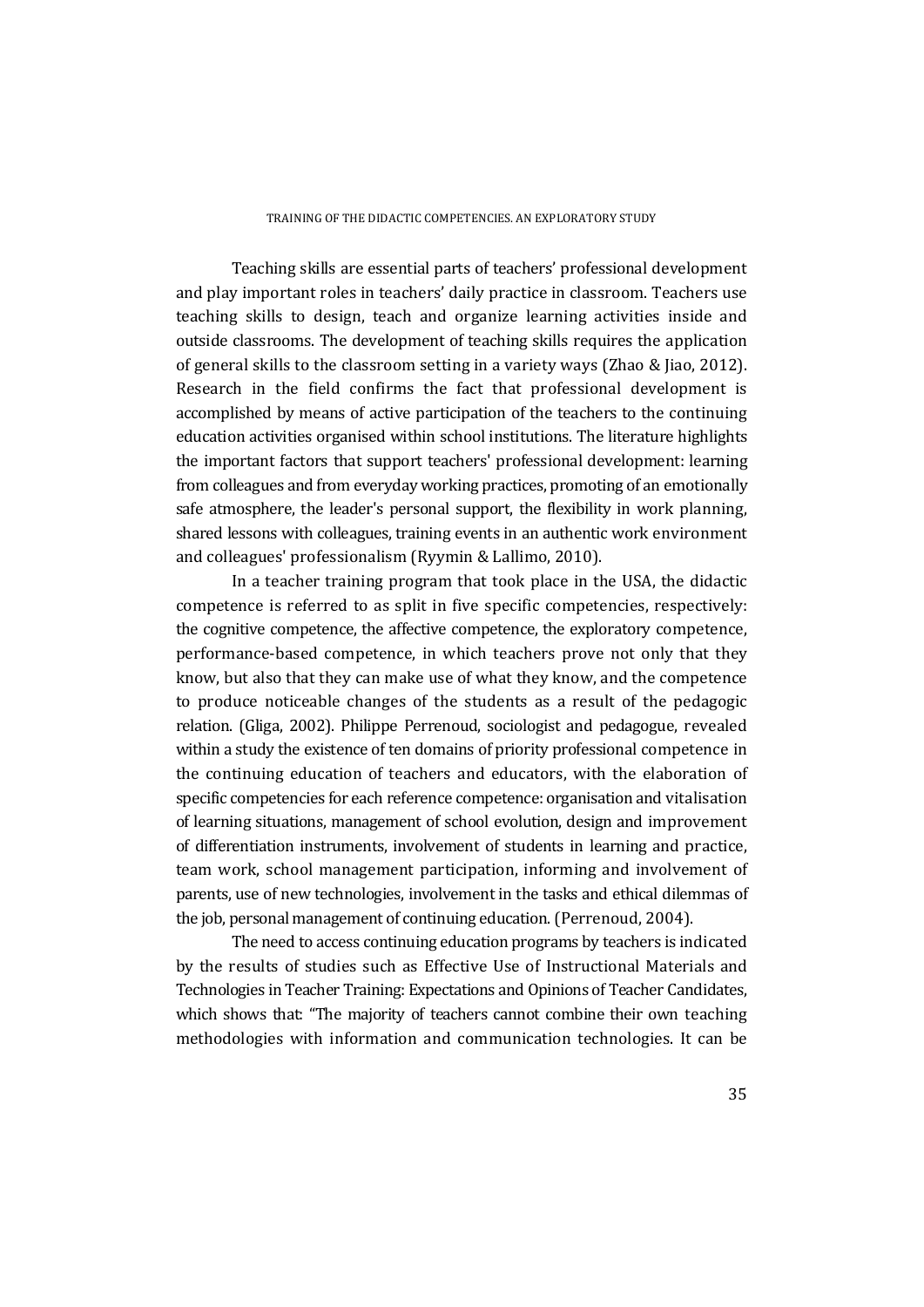Teaching skills are essential parts of teachers' professional development and play important roles in teachers' daily practice in classroom. Teachers use teaching skills to design, teach and organize learning activities inside and outside classrooms. The development of teaching skills requires the application of general skills to the classroom setting in a variety ways (Zhao & Jiao, 2012). Research in the field confirms the fact that professional development is accomplished by means of active participation of the teachers to the continuing education activities organised within school institutions. The literature highlights the important factors that support teachers' professional development: learning from colleagues and from everyday working practices, promoting of an emotionally safe atmosphere, the leader's personal support, the flexibility in work planning, shared lessons with colleagues, training events in an authentic work environment and colleagues' professionalism (Ryymin & Lallimo, 2010).

In a teacher training program that took place in the USA, the didactic competence is referred to as split in five specific competencies, respectively: the cognitive competence, the affective competence, the exploratory competence, performance-based competence, in which teachers prove not only that they know, but also that they can make use of what they know, and the competence to produce noticeable changes of the students as a result of the pedagogic relation. (Gliga, 2002). Philippe Perrenoud, sociologist and pedagogue, revealed within a study the existence of ten domains of priority professional competence in the continuing education of teachers and educators, with the elaboration of specific competencies for each reference competence: organisation and vitalisation of learning situations, management of school evolution, design and improvement of differentiation instruments, involvement of students in learning and practice, team work, school management participation, informing and involvement of parents, use of new technologies, involvement in the tasks and ethical dilemmas of the job, personal management of continuing education. (Perrenoud, 2004).

The need to access continuing education programs by teachers is indicated by the results of studies such as Effective Use of Instructional Materials and Technologies in Teacher Training: Expectations and Opinions of Teacher Candidates, which shows that: "The majority of teachers cannot combine their own teaching methodologies with information and communication technologies. It can be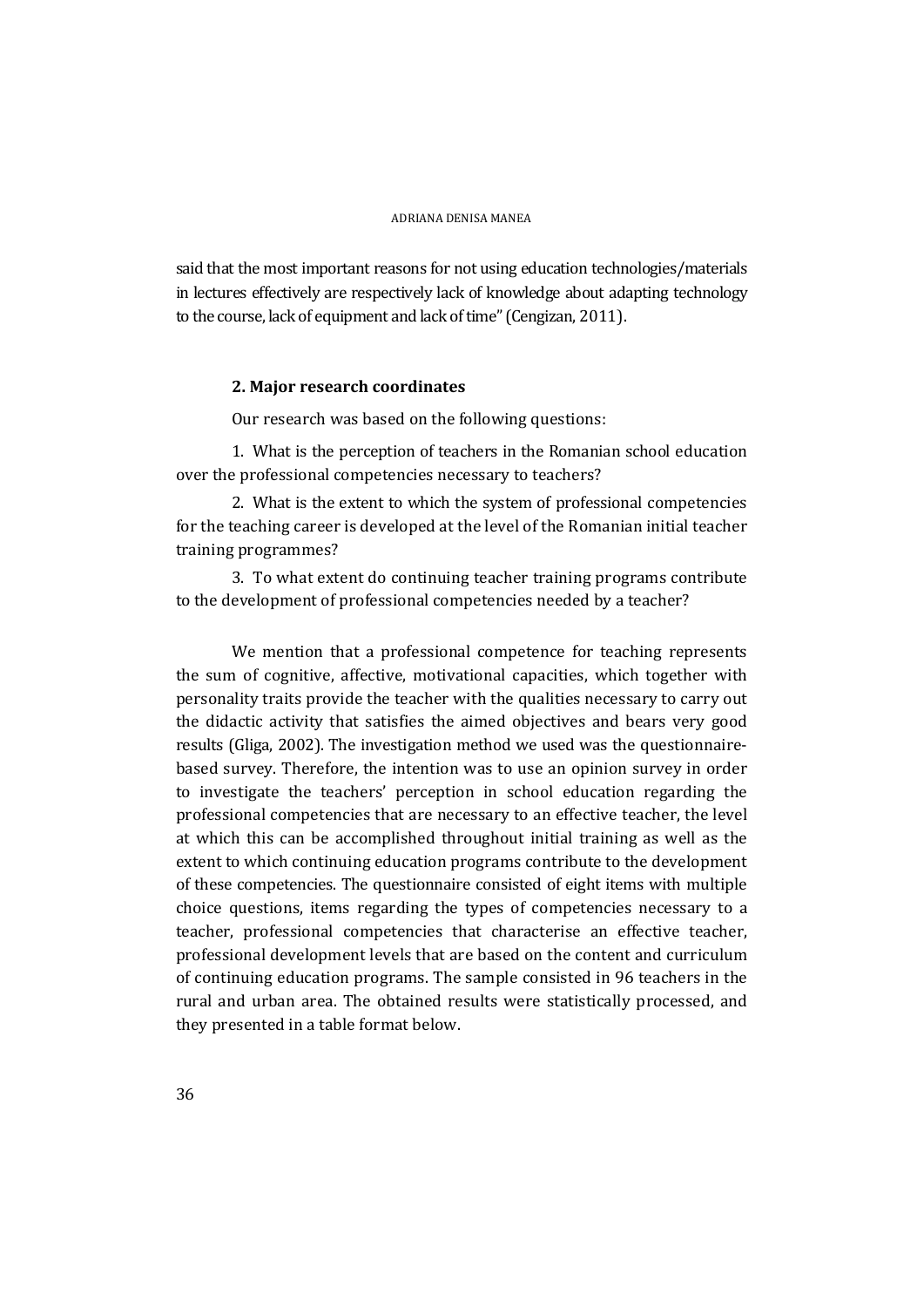said that the most important reasons for not using education technologies/materials in lectures effectively are respectively lack of knowledge about adapting technology to the course, lack of equipment and lack of time" (Cengizan, 2011).

### **2. Major research coordinates**

Our research was based on the following questions:

1. What is the perception of teachers in the Romanian school education over the professional competencies necessary to teachers?

2. What is the extent to which the system of professional competencies for the teaching career is developed at the level of the Romanian initial teacher training programmes?

3. To what extent do continuing teacher training programs contribute to the development of professional competencies needed by a teacher?

We mention that a professional competence for teaching represents the sum of cognitive, affective, motivational capacities, which together with personality traits provide the teacher with the qualities necessary to carry out the didactic activity that satisfies the aimed objectives and bears very good results (Gliga, 2002). The investigation method we used was the questionnairebased survey. Therefore, the intention was to use an opinion survey in order to investigate the teachers' perception in school education regarding the professional competencies that are necessary to an effective teacher, the level at which this can be accomplished throughout initial training as well as the extent to which continuing education programs contribute to the development of these competencies. The questionnaire consisted of eight items with multiple choice questions, items regarding the types of competencies necessary to a teacher, professional competencies that characterise an effective teacher, professional development levels that are based on the content and curriculum of continuing education programs. The sample consisted in 96 teachers in the rural and urban area. The obtained results were statistically processed, and they presented in a table format below.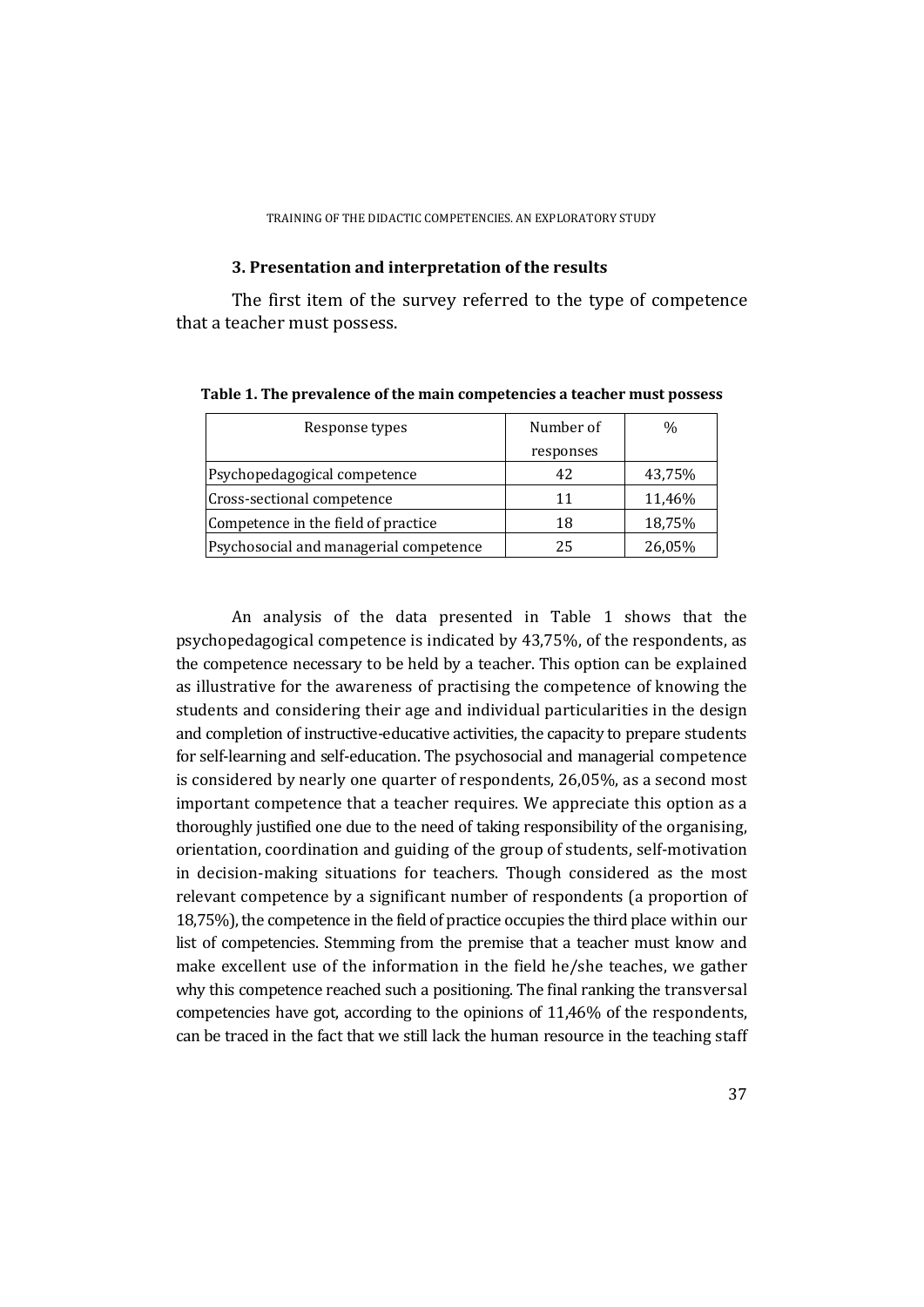#### **3. Presentation and interpretation of the results**

The first item of the survey referred to the type of competence that a teacher must possess.

| Response types                         | Number of | $\%$   |
|----------------------------------------|-----------|--------|
|                                        | responses |        |
| Psychopedagogical competence           | 42        | 43,75% |
| Cross-sectional competence             | 11        | 11,46% |
| Competence in the field of practice    | 18        | 18,75% |
| Psychosocial and managerial competence | 25        | 26,05% |

**Table 1. The prevalence of the main competencies a teacher must possess** 

An analysis of the data presented in Table 1 shows that the psychopedagogical competence is indicated by 43,75%, of the respondents, as the competence necessary to be held by a teacher. This option can be explained as illustrative for the awareness of practising the competence of knowing the students and considering their age and individual particularities in the design and completion of instructive-educative activities, the capacity to prepare students for self-learning and self-education. The psychosocial and managerial competence is considered by nearly one quarter of respondents, 26,05%, as a second most important competence that a teacher requires. We appreciate this option as a thoroughly justified one due to the need of taking responsibility of the organising, orientation, coordination and guiding of the group of students, self-motivation in decision-making situations for teachers. Though considered as the most relevant competence by a significant number of respondents (a proportion of 18,75%), the competence in the field of practice occupies the third place within our list of competencies. Stemming from the premise that a teacher must know and make excellent use of the information in the field he/she teaches, we gather why this competence reached such a positioning. The final ranking the transversal competencies have got, according to the opinions of 11,46% of the respondents, can be traced in the fact that we still lack the human resource in the teaching staff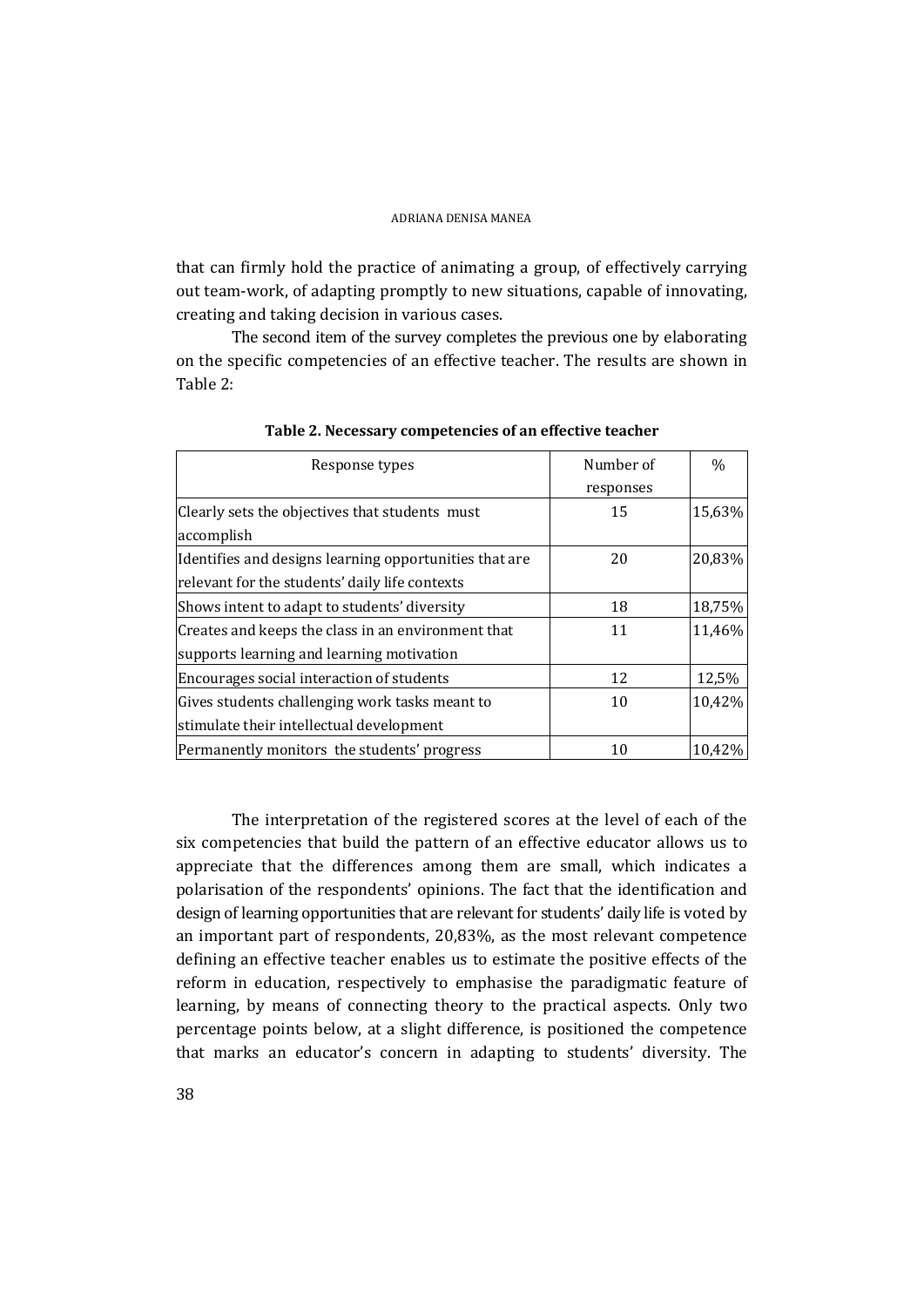that can firmly hold the practice of animating a group, of effectively carrying out team-work, of adapting promptly to new situations, capable of innovating, creating and taking decision in various cases.

The second item of the survey completes the previous one by elaborating on the specific competencies of an effective teacher. The results are shown in Table 2:

| Response types                                         | Number of<br>responses | $\frac{0}{0}$ |
|--------------------------------------------------------|------------------------|---------------|
|                                                        |                        |               |
| Clearly sets the objectives that students must         | 15                     | 15,63%        |
| accomplish                                             |                        |               |
| Identifies and designs learning opportunities that are | 20                     | 20,83%        |
| relevant for the students' daily life contexts         |                        |               |
| Shows intent to adapt to students' diversity           | 18                     | 18,75%        |
| Creates and keeps the class in an environment that     | 11                     | 11,46%        |
| supports learning and learning motivation              |                        |               |
| Encourages social interaction of students              | 12                     | 12,5%         |
| Gives students challenging work tasks meant to         | 10                     | 10,42%        |
| stimulate their intellectual development               |                        |               |
| Permanently monitors the students' progress            | 10                     | 10,42%        |

**Table 2. Necessary competencies of an effective teacher** 

The interpretation of the registered scores at the level of each of the six competencies that build the pattern of an effective educator allows us to appreciate that the differences among them are small, which indicates a polarisation of the respondents' opinions. The fact that the identification and design of learning opportunities that are relevant for students' daily life is voted by an important part of respondents, 20,83%, as the most relevant competence defining an effective teacher enables us to estimate the positive effects of the reform in education, respectively to emphasise the paradigmatic feature of learning, by means of connecting theory to the practical aspects. Only two percentage points below, at a slight difference, is positioned the competence that marks an educator's concern in adapting to students' diversity. The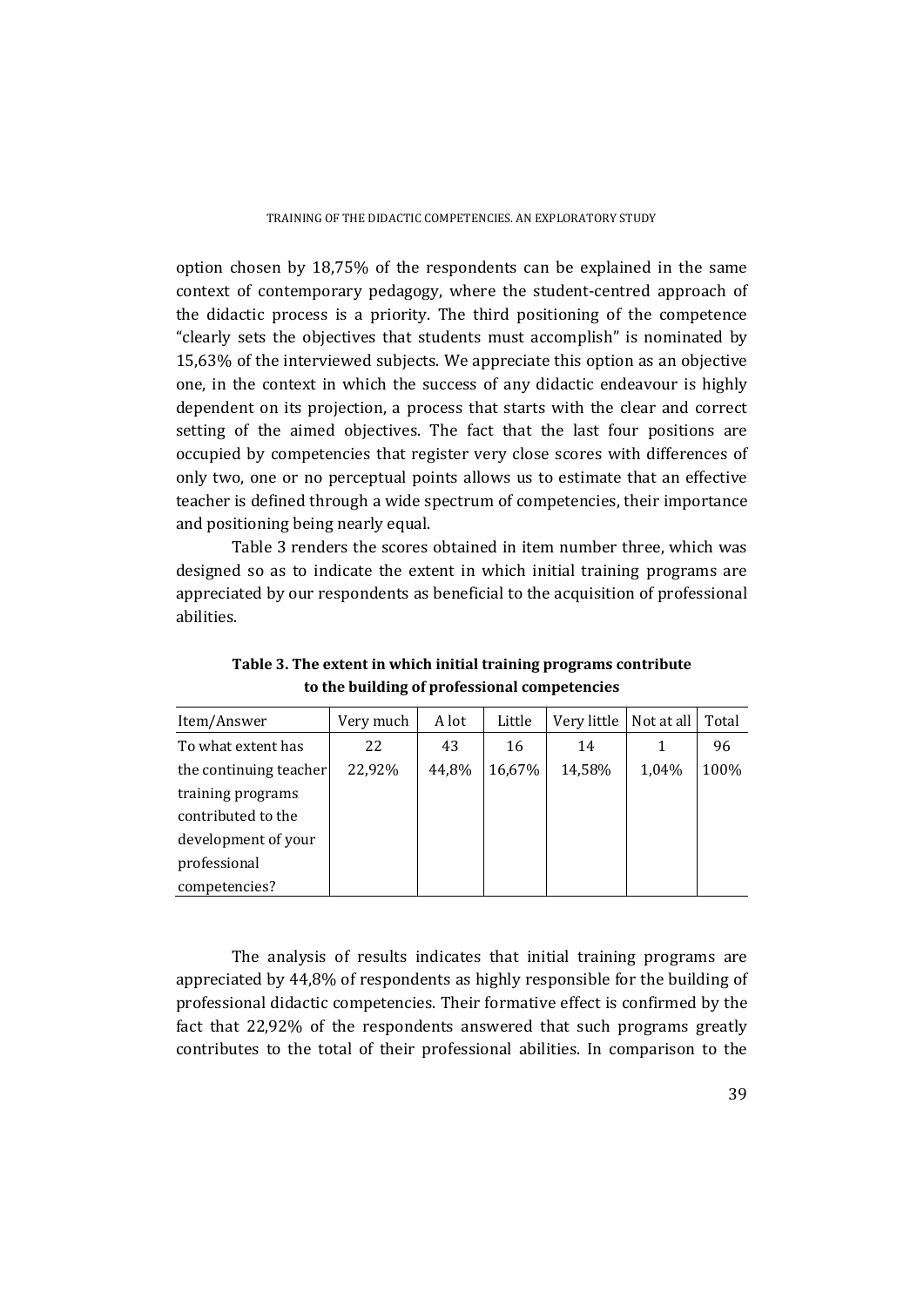option chosen by 18,75% of the respondents can be explained in the same context of contemporary pedagogy, where the student-centred approach of the didactic process is a priority. The third positioning of the competence "clearly sets the objectives that students must accomplish" is nominated by 15,63% of the interviewed subjects. We appreciate this option as an objective one, in the context in which the success of any didactic endeavour is highly dependent on its projection, a process that starts with the clear and correct setting of the aimed objectives. The fact that the last four positions are occupied by competencies that register very close scores with differences of only two, one or no perceptual points allows us to estimate that an effective teacher is defined through a wide spectrum of competencies, their importance and positioning being nearly equal.

Table 3 renders the scores obtained in item number three, which was designed so as to indicate the extent in which initial training programs are appreciated by our respondents as beneficial to the acquisition of professional abilities.

| Item/Answer            | Very much | A lot | Little | Very little | Not at all | Total |
|------------------------|-----------|-------|--------|-------------|------------|-------|
| To what extent has     | 22        | 43    | 16     | 14          |            | 96    |
| the continuing teacher | 22,92%    | 44,8% | 16,67% | 14,58%      | 1,04%      | 100%  |
| training programs      |           |       |        |             |            |       |
| contributed to the     |           |       |        |             |            |       |
| development of your    |           |       |        |             |            |       |
| professional           |           |       |        |             |            |       |
| competencies?          |           |       |        |             |            |       |

**Table 3. The extent in which initial training programs contribute to the building of professional competencies** 

The analysis of results indicates that initial training programs are appreciated by 44,8% of respondents as highly responsible for the building of professional didactic competencies. Their formative effect is confirmed by the fact that 22,92% of the respondents answered that such programs greatly contributes to the total of their professional abilities. In comparison to the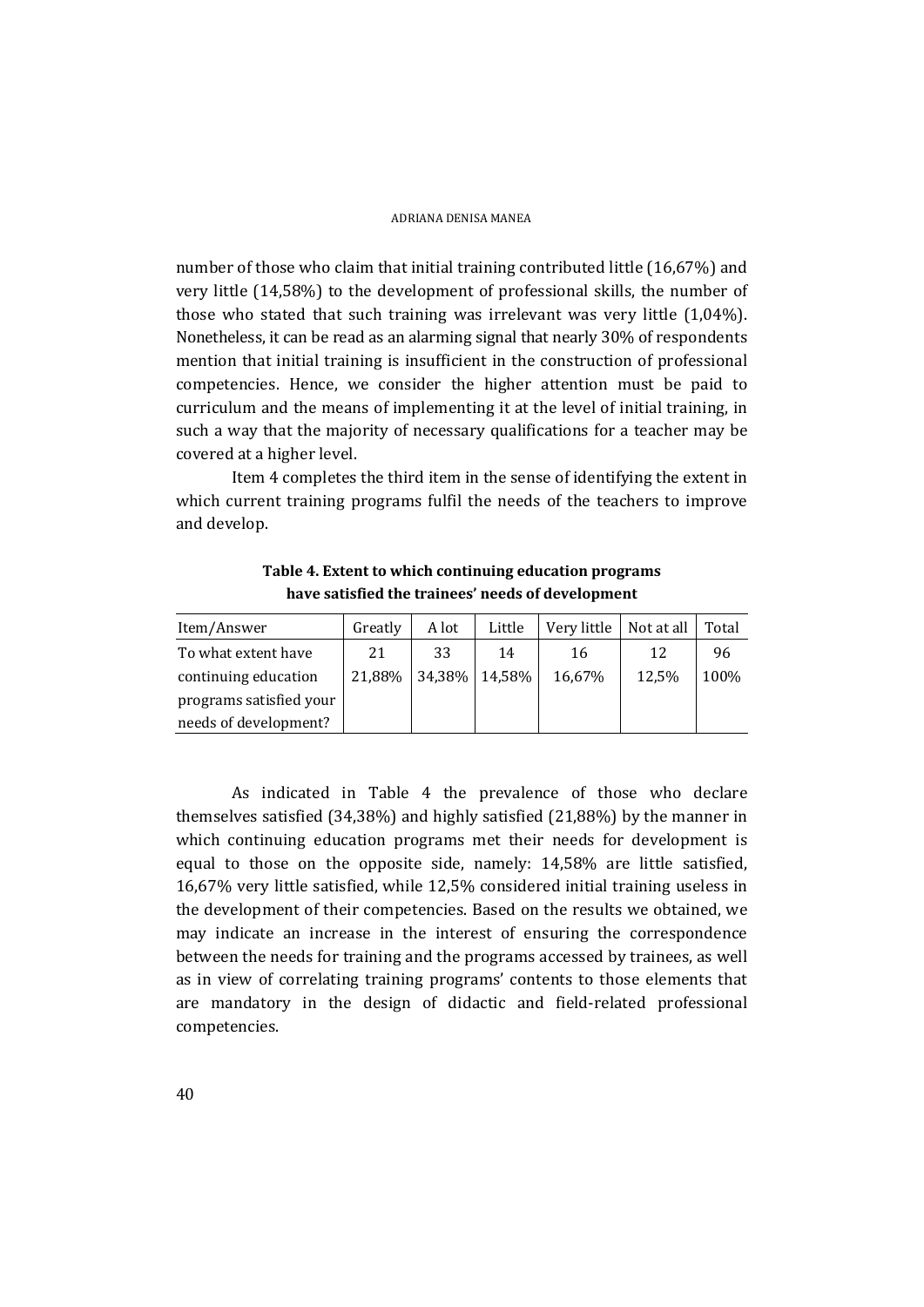number of those who claim that initial training contributed little (16,67%) and very little (14,58%) to the development of professional skills, the number of those who stated that such training was irrelevant was very little (1,04%). Nonetheless, it can be read as an alarming signal that nearly 30% of respondents mention that initial training is insufficient in the construction of professional competencies. Hence, we consider the higher attention must be paid to curriculum and the means of implementing it at the level of initial training, in such a way that the majority of necessary qualifications for a teacher may be covered at a higher level.

Item 4 completes the third item in the sense of identifying the extent in which current training programs fulfil the needs of the teachers to improve and develop.

**Table 4. Extent to which continuing education programs have satisfied the trainees' needs of development** 

| Item/Answer             | Greatly | A lot | Little        | Very little | Not at all | Total |
|-------------------------|---------|-------|---------------|-------------|------------|-------|
| To what extent have     | 21      | 33    | 14            | 16          | 12         | 96    |
| continuing education    | 21,88%  |       | 34,38% 14,58% | 16,67%      | 12,5%      | 100%  |
| programs satisfied your |         |       |               |             |            |       |
| needs of development?   |         |       |               |             |            |       |

As indicated in Table 4 the prevalence of those who declare themselves satisfied (34,38%) and highly satisfied (21,88%) by the manner in which continuing education programs met their needs for development is equal to those on the opposite side, namely: 14,58% are little satisfied, 16,67% very little satisfied, while 12,5% considered initial training useless in the development of their competencies. Based on the results we obtained, we may indicate an increase in the interest of ensuring the correspondence between the needs for training and the programs accessed by trainees, as well as in view of correlating training programs' contents to those elements that are mandatory in the design of didactic and field-related professional competencies.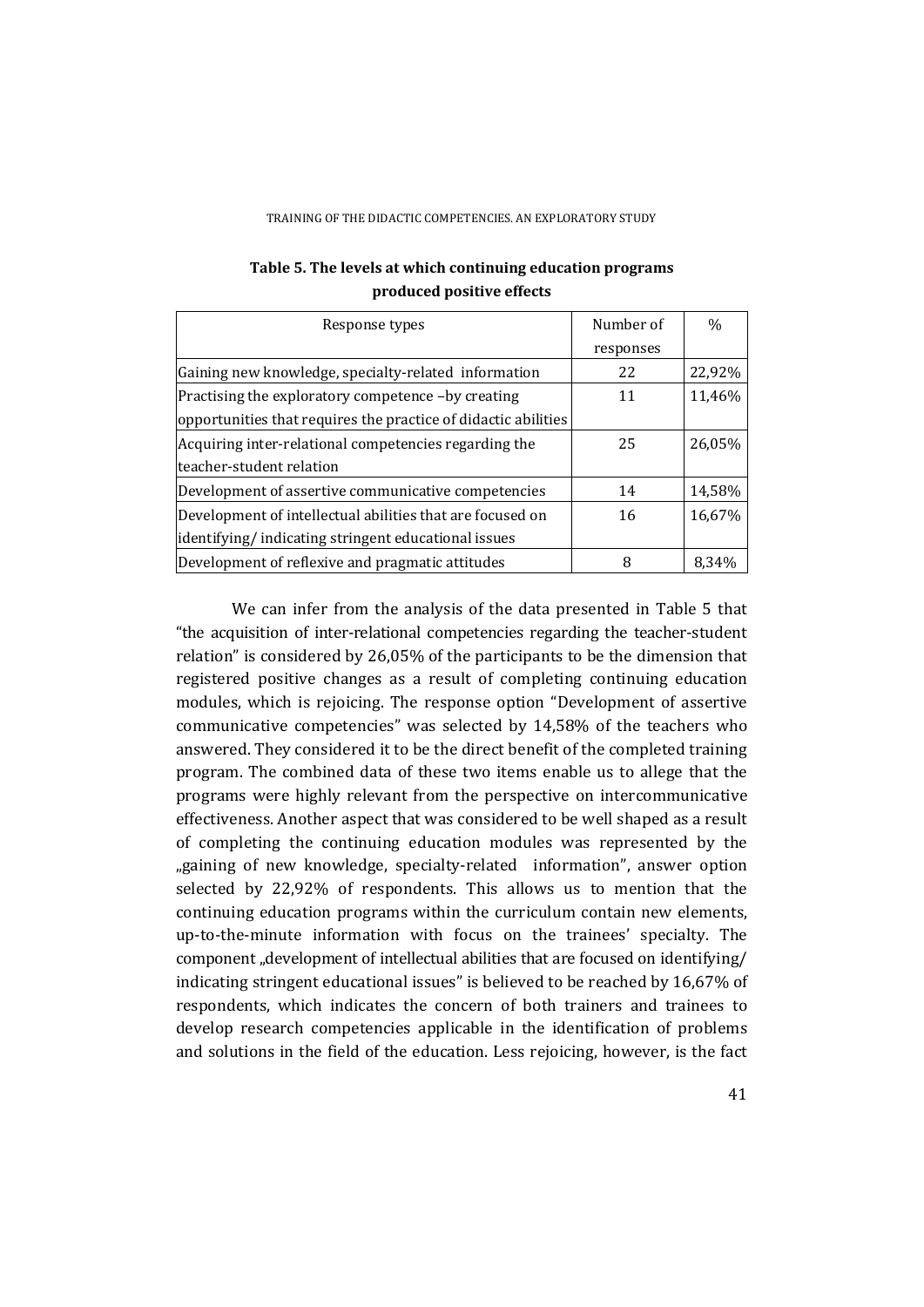| Response types                                                 | Number of | $\frac{0}{0}$ |
|----------------------------------------------------------------|-----------|---------------|
|                                                                | responses |               |
| Gaining new knowledge, specialty-related information           | 22        | 22,92%        |
| Practising the exploratory competence -by creating             | 11        | 11,46%        |
| opportunities that requires the practice of didactic abilities |           |               |
| Acquiring inter-relational competencies regarding the          | 25        | 26.05%        |
| teacher-student relation                                       |           |               |
| Development of assertive communicative competencies            | 14        | 14,58%        |
| Development of intellectual abilities that are focused on      | 16        | 16,67%        |
| identifying/indicating stringent educational issues            |           |               |
| Development of reflexive and pragmatic attitudes               | 8         | 8.34%         |

### **Table 5. The levels at which continuing education programs produced positive effects**

We can infer from the analysis of the data presented in Table 5 that "the acquisition of inter-relational competencies regarding the teacher-student relation" is considered by 26,05% of the participants to be the dimension that registered positive changes as a result of completing continuing education modules, which is rejoicing. The response option "Development of assertive communicative competencies" was selected by 14,58% of the teachers who answered. They considered it to be the direct benefit of the completed training program. The combined data of these two items enable us to allege that the programs were highly relevant from the perspective on intercommunicative effectiveness. Another aspect that was considered to be well shaped as a result of completing the continuing education modules was represented by the "gaining of new knowledge, specialty-related information", answer option selected by 22,92% of respondents. This allows us to mention that the continuing education programs within the curriculum contain new elements, up-to-the-minute information with focus on the trainees' specialty. The component "development of intellectual abilities that are focused on identifying/ indicating stringent educational issues" is believed to be reached by 16,67% of respondents, which indicates the concern of both trainers and trainees to develop research competencies applicable in the identification of problems and solutions in the field of the education. Less rejoicing, however, is the fact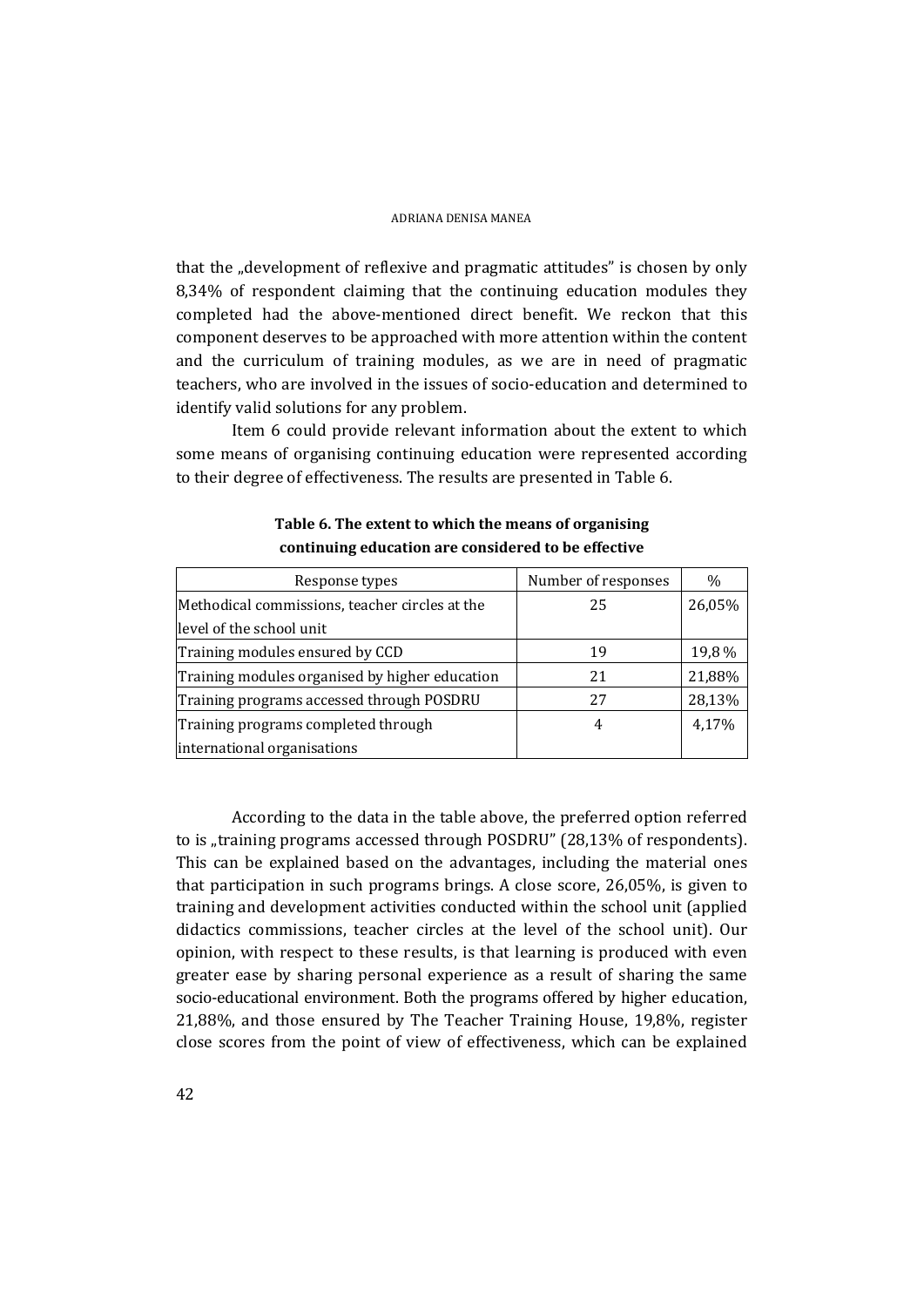that the "development of reflexive and pragmatic attitudes" is chosen by only 8,34% of respondent claiming that the continuing education modules they completed had the above-mentioned direct benefit. We reckon that this component deserves to be approached with more attention within the content and the curriculum of training modules, as we are in need of pragmatic teachers, who are involved in the issues of socio-education and determined to identify valid solutions for any problem.

Item 6 could provide relevant information about the extent to which some means of organising continuing education were represented according to their degree of effectiveness. The results are presented in Table 6.

| Response types                                 | Number of responses | $\%$   |
|------------------------------------------------|---------------------|--------|
| Methodical commissions, teacher circles at the | 25                  | 26,05% |
| level of the school unit                       |                     |        |
| Training modules ensured by CCD                | 19                  | 19,8%  |
| Training modules organised by higher education | 21                  | 21,88% |
| Training programs accessed through POSDRU      | 27                  | 28,13% |
| Training programs completed through            |                     | 4,17%  |
| international organisations                    |                     |        |

**Table 6. The extent to which the means of organising continuing education are considered to be effective** 

According to the data in the table above, the preferred option referred to is "training programs accessed through POSDRU" (28,13% of respondents). This can be explained based on the advantages, including the material ones that participation in such programs brings. A close score, 26,05%, is given to training and development activities conducted within the school unit (applied didactics commissions, teacher circles at the level of the school unit). Our opinion, with respect to these results, is that learning is produced with even greater ease by sharing personal experience as a result of sharing the same socio-educational environment. Both the programs offered by higher education, 21,88%, and those ensured by The Teacher Training House, 19,8%, register close scores from the point of view of effectiveness, which can be explained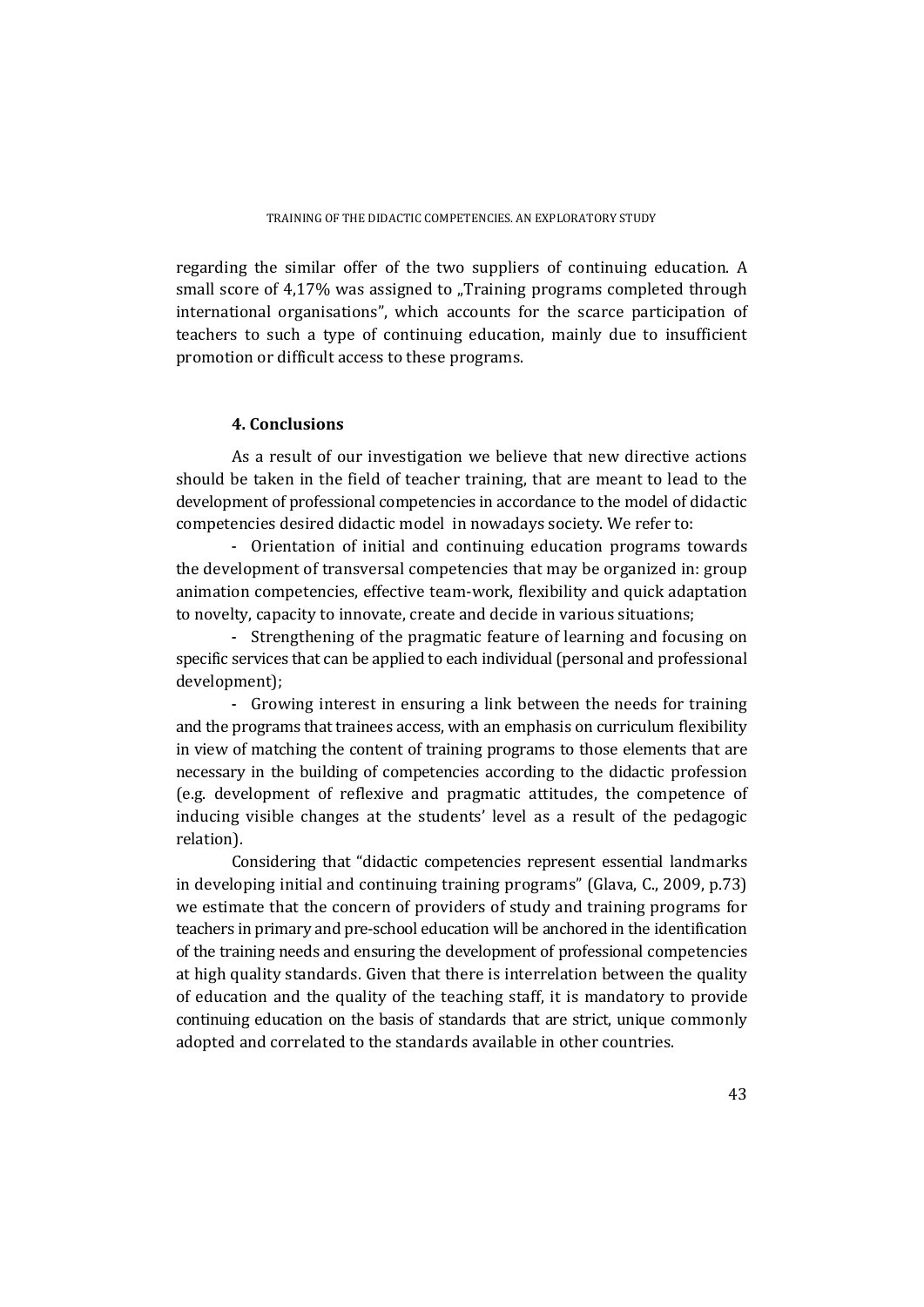regarding the similar offer of the two suppliers of continuing education. A small score of  $4.17\%$  was assigned to "Training programs completed through international organisations", which accounts for the scarce participation of teachers to such a type of continuing education, mainly due to insufficient promotion or difficult access to these programs.

## **4. Conclusions**

As a result of our investigation we believe that new directive actions should be taken in the field of teacher training, that are meant to lead to the development of professional competencies in accordance to the model of didactic competencies desired didactic model in nowadays society. We refer to:

- Orientation of initial and continuing education programs towards the development of transversal competencies that may be organized in: group animation competencies, effective team-work, flexibility and quick adaptation to novelty, capacity to innovate, create and decide in various situations;

- Strengthening of the pragmatic feature of learning and focusing on specific services that can be applied to each individual (personal and professional development);

- Growing interest in ensuring a link between the needs for training and the programs that trainees access, with an emphasis on curriculum flexibility in view of matching the content of training programs to those elements that are necessary in the building of competencies according to the didactic profession (e.g. development of reflexive and pragmatic attitudes, the competence of inducing visible changes at the students' level as a result of the pedagogic relation).

Considering that "didactic competencies represent essential landmarks in developing initial and continuing training programs" (Glava, C., 2009, p.73) we estimate that the concern of providers of study and training programs for teachers in primary and pre-school education will be anchored in the identification of the training needs and ensuring the development of professional competencies at high quality standards. Given that there is interrelation between the quality of education and the quality of the teaching staff, it is mandatory to provide continuing education on the basis of standards that are strict, unique commonly adopted and correlated to the standards available in other countries.